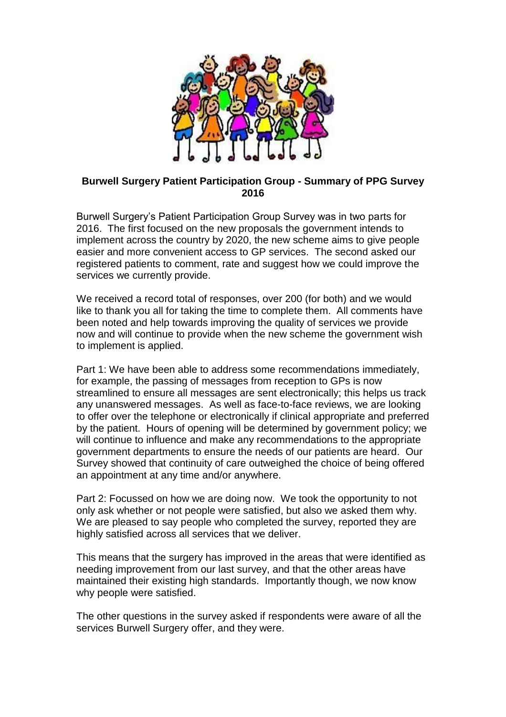

## **Burwell Surgery Patient Participation Group - Summary of PPG Survey 2016**

Burwell Surgery's Patient Participation Group Survey was in two parts for 2016. The first focused on the new proposals the government intends to implement across the country by 2020, the new scheme aims to give people easier and more convenient access to GP services. The second asked our registered patients to comment, rate and suggest how we could improve the services we currently provide.

We received a record total of responses, over 200 (for both) and we would like to thank you all for taking the time to complete them. All comments have been noted and help towards improving the quality of services we provide now and will continue to provide when the new scheme the government wish to implement is applied.

Part 1: We have been able to address some recommendations immediately, for example, the passing of messages from reception to GPs is now streamlined to ensure all messages are sent electronically; this helps us track any unanswered messages. As well as face-to-face reviews, we are looking to offer over the telephone or electronically if clinical appropriate and preferred by the patient. Hours of opening will be determined by government policy; we will continue to influence and make any recommendations to the appropriate government departments to ensure the needs of our patients are heard. Our Survey showed that continuity of care outweighed the choice of being offered an appointment at any time and/or anywhere.

Part 2: Focussed on how we are doing now. We took the opportunity to not only ask whether or not people were satisfied, but also we asked them why. We are pleased to say people who completed the survey, reported they are highly satisfied across all services that we deliver.

This means that the surgery has improved in the areas that were identified as needing improvement from our last survey, and that the other areas have maintained their existing high standards. Importantly though, we now know why people were satisfied.

The other questions in the survey asked if respondents were aware of all the services Burwell Surgery offer, and they were.